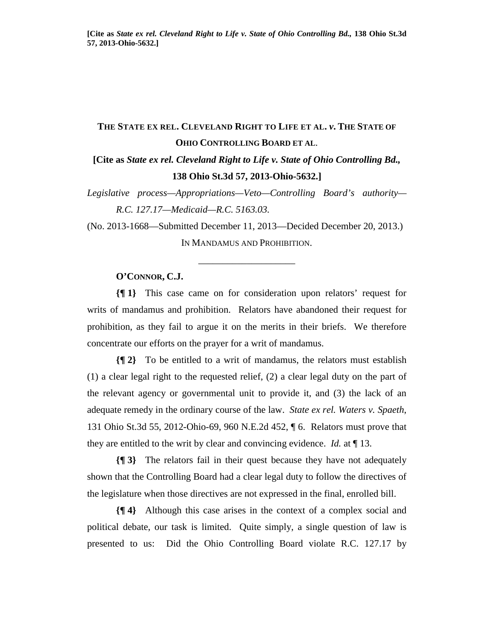# **THE STATE EX REL. CLEVELAND RIGHT TO LIFE ET AL.** *v***. THE STATE OF OHIO CONTROLLING BOARD ET AL**.

## **[Cite as** *State ex rel. Cleveland Right to Life v. State of Ohio Controlling Bd.,* **138 Ohio St.3d 57, 2013-Ohio-5632.]**

*Legislative process—Appropriations—Veto—Controlling Board's authority— R.C. 127.17—Medicaid—R.C. 5163.03.* 

(No. 2013-1668—Submitted December 11, 2013—Decided December 20, 2013.) IN MANDAMUS AND PROHIBITION.

\_\_\_\_\_\_\_\_\_\_\_\_\_\_\_\_\_\_\_\_

### **O'CONNOR, C.J.**

**{¶ 1}** This case came on for consideration upon relators' request for writs of mandamus and prohibition. Relators have abandoned their request for prohibition, as they fail to argue it on the merits in their briefs. We therefore concentrate our efforts on the prayer for a writ of mandamus.

**{¶ 2}** To be entitled to a writ of mandamus, the relators must establish (1) a clear legal right to the requested relief, (2) a clear legal duty on the part of the relevant agency or governmental unit to provide it, and (3) the lack of an adequate remedy in the ordinary course of the law. *State ex rel. Waters v. Spaeth*, 131 Ohio St.3d 55, 2012-Ohio-69, 960 N.E.2d 452, ¶ 6. Relators must prove that they are entitled to the writ by clear and convincing evidence. *Id.* at ¶ 13.

**{¶ 3}** The relators fail in their quest because they have not adequately shown that the Controlling Board had a clear legal duty to follow the directives of the legislature when those directives are not expressed in the final, enrolled bill.

**{¶ 4}** Although this case arises in the context of a complex social and political debate, our task is limited. Quite simply, a single question of law is presented to us: Did the Ohio Controlling Board violate R.C. 127.17 by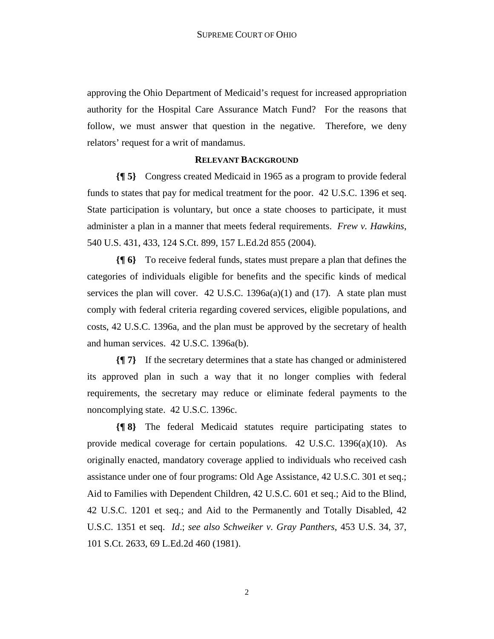approving the Ohio Department of Medicaid's request for increased appropriation authority for the Hospital Care Assurance Match Fund? For the reasons that follow, we must answer that question in the negative. Therefore, we deny relators' request for a writ of mandamus.

### **RELEVANT BACKGROUND**

**{¶ 5}** Congress created Medicaid in 1965 as a program to provide federal funds to states that pay for medical treatment for the poor. 42 U.S.C. 1396 et seq. State participation is voluntary, but once a state chooses to participate, it must administer a plan in a manner that meets federal requirements. *Frew v. Hawkins*, 540 U.S. 431, 433, 124 S.Ct. 899, 157 L.Ed.2d 855 (2004).

**{¶ 6}** To receive federal funds, states must prepare a plan that defines the categories of individuals eligible for benefits and the specific kinds of medical services the plan will cover.  $42 \text{ U.S.C. } 1396a(a)(1)$  and  $(17)$ . A state plan must comply with federal criteria regarding covered services, eligible populations, and costs, 42 U.S.C. 1396a, and the plan must be approved by the secretary of health and human services. 42 U.S.C. 1396a(b).

**{¶ 7}** If the secretary determines that a state has changed or administered its approved plan in such a way that it no longer complies with federal requirements, the secretary may reduce or eliminate federal payments to the noncomplying state. 42 U.S.C. 1396c.

**{¶ 8}** The federal Medicaid statutes require participating states to provide medical coverage for certain populations. 42 U.S.C. 1396(a)(10). As originally enacted, mandatory coverage applied to individuals who received cash assistance under one of four programs: Old Age Assistance, 42 U.S.C. 301 et seq.; Aid to Families with Dependent Children, 42 U.S.C. 601 et seq.; Aid to the Blind, 42 U.S.C. 1201 et seq.; and Aid to the Permanently and Totally Disabled, 42 U.S.C. 1351 et seq. *Id*.; *see also Schweiker v. Gray Panthers*, 453 U.S. 34, 37, 101 S.Ct. 2633, 69 L.Ed.2d 460 (1981).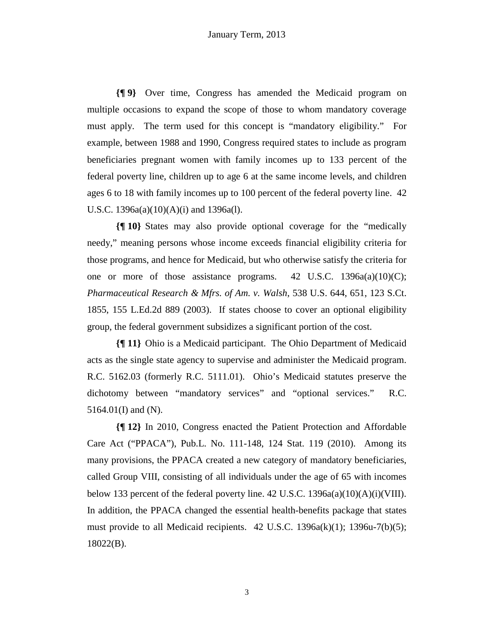**{¶ 9}** Over time, Congress has amended the Medicaid program on multiple occasions to expand the scope of those to whom mandatory coverage must apply. The term used for this concept is "mandatory eligibility." For example, between 1988 and 1990, Congress required states to include as program beneficiaries pregnant women with family incomes up to 133 percent of the federal poverty line, children up to age 6 at the same income levels, and children ages 6 to 18 with family incomes up to 100 percent of the federal poverty line. 42 U.S.C. 1396a(a)(10)(A)(i) and 1396a(l).

**{¶ 10}** States may also provide optional coverage for the "medically needy," meaning persons whose income exceeds financial eligibility criteria for those programs, and hence for Medicaid, but who otherwise satisfy the criteria for one or more of those assistance programs.  $42 \text{ U.S.C. } 1396a(a)(10)(C);$ *Pharmaceutical Research & Mfrs. of Am. v. Walsh*, 538 U.S. 644, 651, 123 S.Ct. 1855, 155 L.Ed.2d 889 (2003). If states choose to cover an optional eligibility group, the federal government subsidizes a significant portion of the cost.

**{¶ 11}** Ohio is a Medicaid participant. The Ohio Department of Medicaid acts as the single state agency to supervise and administer the Medicaid program. R.C. 5162.03 (formerly R.C. 5111.01). Ohio's Medicaid statutes preserve the dichotomy between "mandatory services" and "optional services." R.C. 5164.01(I) and (N).

**{¶ 12}** In 2010, Congress enacted the Patient Protection and Affordable Care Act ("PPACA"), Pub.L. No. 111-148, 124 Stat. 119 (2010). Among its many provisions, the PPACA created a new category of mandatory beneficiaries, called Group VIII, consisting of all individuals under the age of 65 with incomes below 133 percent of the federal poverty line.  $42 \text{ U.S.C. } 1396a(a)(10)(A)(i)(VIII)$ . In addition, the PPACA changed the essential health-benefits package that states must provide to all Medicaid recipients. 42 U.S.C. 1396a(k)(1); 1396u-7(b)(5); 18022(B).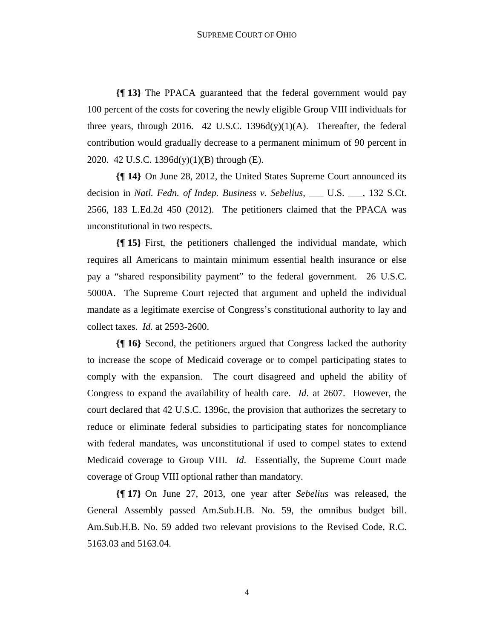**{¶ 13}** The PPACA guaranteed that the federal government would pay 100 percent of the costs for covering the newly eligible Group VIII individuals for three years, through 2016. 42 U.S.C. 1396 $d(y)(1)(A)$ . Thereafter, the federal contribution would gradually decrease to a permanent minimum of 90 percent in 2020. 42 U.S.C. 1396d(y)(1)(B) through (E).

**{¶ 14}** On June 28, 2012, the United States Supreme Court announced its decision in *Natl. Fedn. of Indep. Business v. Sebelius*, \_\_\_ U.S. \_\_\_, 132 S.Ct. 2566, 183 L.Ed.2d 450 (2012). The petitioners claimed that the PPACA was unconstitutional in two respects.

**{¶ 15}** First, the petitioners challenged the individual mandate, which requires all Americans to maintain minimum essential health insurance or else pay a "shared responsibility payment" to the federal government. 26 U.S.C. 5000A. The Supreme Court rejected that argument and upheld the individual mandate as a legitimate exercise of Congress's constitutional authority to lay and collect taxes. *Id.* at 2593-2600.

**{¶ 16}** Second, the petitioners argued that Congress lacked the authority to increase the scope of Medicaid coverage or to compel participating states to comply with the expansion. The court disagreed and upheld the ability of Congress to expand the availability of health care. *Id*. at 2607. However, the court declared that 42 U.S.C. 1396c, the provision that authorizes the secretary to reduce or eliminate federal subsidies to participating states for noncompliance with federal mandates, was unconstitutional if used to compel states to extend Medicaid coverage to Group VIII. *Id*. Essentially, the Supreme Court made coverage of Group VIII optional rather than mandatory.

**{¶ 17}** On June 27, 2013, one year after *Sebelius* was released, the General Assembly passed Am.Sub.H.B. No. 59, the omnibus budget bill. Am.Sub.H.B. No. 59 added two relevant provisions to the Revised Code, R.C. 5163.03 and 5163.04.

4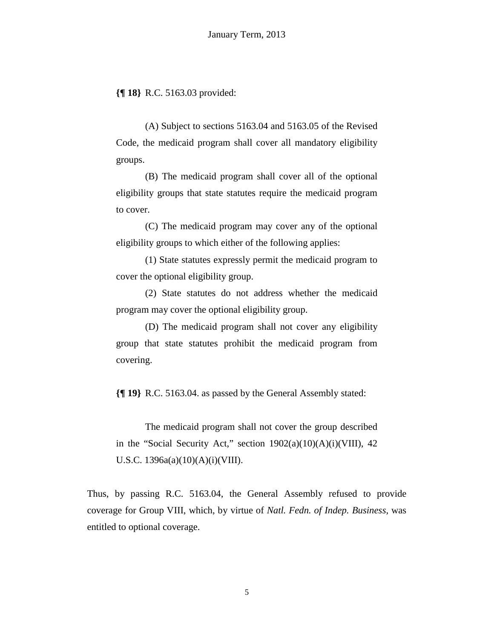**{¶ 18}** R.C. 5163.03 provided:

(A) Subject to sections 5163.04 and 5163.05 of the Revised Code, the medicaid program shall cover all mandatory eligibility groups.

(B) The medicaid program shall cover all of the optional eligibility groups that state statutes require the medicaid program to cover.

(C) The medicaid program may cover any of the optional eligibility groups to which either of the following applies:

(1) State statutes expressly permit the medicaid program to cover the optional eligibility group.

(2) State statutes do not address whether the medicaid program may cover the optional eligibility group.

(D) The medicaid program shall not cover any eligibility group that state statutes prohibit the medicaid program from covering.

**{¶ 19}** R.C. 5163.04. as passed by the General Assembly stated:

The medicaid program shall not cover the group described in the "Social Security Act," section  $1902(a)(10)(A)(i)(VIII)$ , 42 U.S.C. 1396a(a)(10)(A)(i)(VIII).

Thus, by passing R.C. 5163.04, the General Assembly refused to provide coverage for Group VIII, which, by virtue of *Natl. Fedn. of Indep. Business*, was entitled to optional coverage.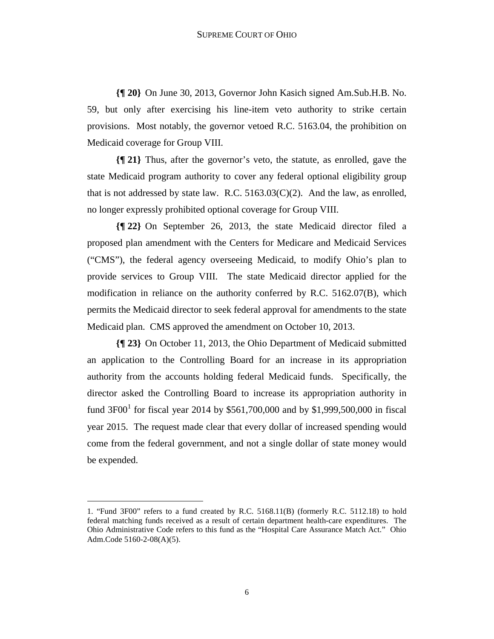**{¶ 20}** On June 30, 2013, Governor John Kasich signed Am.Sub.H.B. No. 59, but only after exercising his line-item veto authority to strike certain provisions. Most notably, the governor vetoed R.C. 5163.04, the prohibition on Medicaid coverage for Group VIII.

**{¶ 21}** Thus, after the governor's veto, the statute, as enrolled, gave the state Medicaid program authority to cover any federal optional eligibility group that is not addressed by state law. R.C.  $5163.03(C)(2)$ . And the law, as enrolled, no longer expressly prohibited optional coverage for Group VIII.

**{¶ 22}** On September 26, 2013, the state Medicaid director filed a proposed plan amendment with the Centers for Medicare and Medicaid Services ("CMS"), the federal agency overseeing Medicaid, to modify Ohio's plan to provide services to Group VIII. The state Medicaid director applied for the modification in reliance on the authority conferred by R.C. 5162.07(B), which permits the Medicaid director to seek federal approval for amendments to the state Medicaid plan. CMS approved the amendment on October 10, 2013.

**{¶ 23}** On October 11, 2013, the Ohio Department of Medicaid submitted an application to the Controlling Board for an increase in its appropriation authority from the accounts holding federal Medicaid funds. Specifically, the director asked the Controlling Board to increase its appropriation authority in fund  $3F00^1$  for fiscal year 2014 by \$561,700,000 and by \$1,999,500,000 in fiscal year 2015. The request made clear that every dollar of increased spending would come from the federal government, and not a single dollar of state money would be expended.

-

<sup>1. &</sup>quot;Fund 3F00" refers to a fund created by R.C. 5168.11(B) (formerly R.C. 5112.18) to hold federal matching funds received as a result of certain department health-care expenditures. The Ohio Administrative Code refers to this fund as the "Hospital Care Assurance Match Act." Ohio Adm.Code 5160-2-08(A)(5).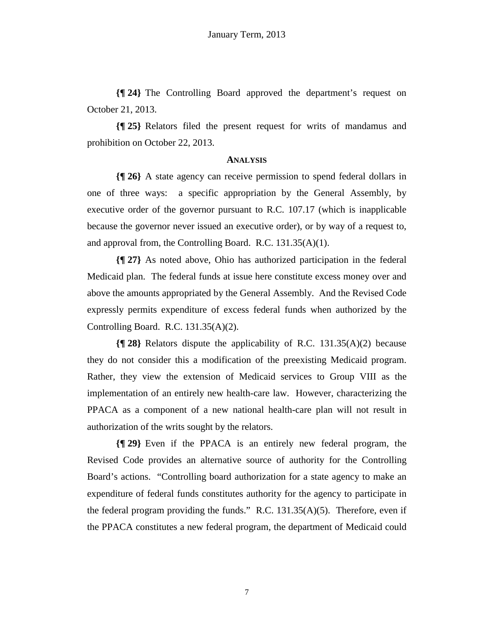**{¶ 24}** The Controlling Board approved the department's request on October 21, 2013.

**{¶ 25}** Relators filed the present request for writs of mandamus and prohibition on October 22, 2013.

#### **ANALYSIS**

**{¶ 26}** A state agency can receive permission to spend federal dollars in one of three ways: a specific appropriation by the General Assembly, by executive order of the governor pursuant to R.C. 107.17 (which is inapplicable because the governor never issued an executive order), or by way of a request to, and approval from, the Controlling Board. R.C. 131.35(A)(1).

**{¶ 27}** As noted above, Ohio has authorized participation in the federal Medicaid plan. The federal funds at issue here constitute excess money over and above the amounts appropriated by the General Assembly. And the Revised Code expressly permits expenditure of excess federal funds when authorized by the Controlling Board. R.C. 131.35(A)(2).

**{¶ 28}** Relators dispute the applicability of R.C. 131.35(A)(2) because they do not consider this a modification of the preexisting Medicaid program. Rather, they view the extension of Medicaid services to Group VIII as the implementation of an entirely new health-care law. However, characterizing the PPACA as a component of a new national health-care plan will not result in authorization of the writs sought by the relators.

**{¶ 29}** Even if the PPACA is an entirely new federal program, the Revised Code provides an alternative source of authority for the Controlling Board's actions. "Controlling board authorization for a state agency to make an expenditure of federal funds constitutes authority for the agency to participate in the federal program providing the funds." R.C. 131.35(A)(5). Therefore, even if the PPACA constitutes a new federal program, the department of Medicaid could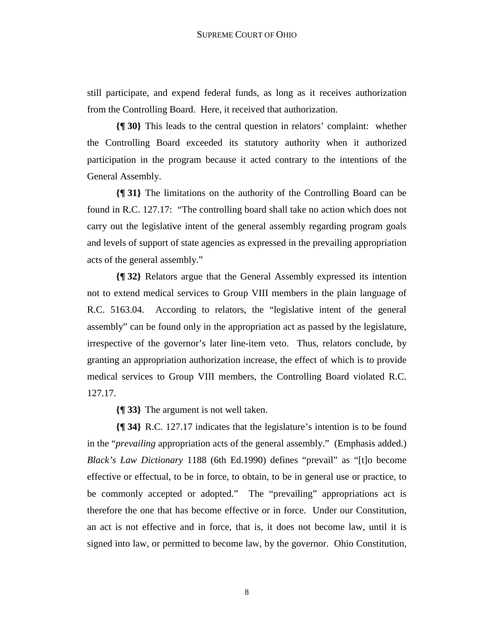still participate, and expend federal funds, as long as it receives authorization from the Controlling Board. Here, it received that authorization.

**{¶ 30}** This leads to the central question in relators' complaint: whether the Controlling Board exceeded its statutory authority when it authorized participation in the program because it acted contrary to the intentions of the General Assembly.

**{¶ 31}** The limitations on the authority of the Controlling Board can be found in R.C. 127.17: "The controlling board shall take no action which does not carry out the legislative intent of the general assembly regarding program goals and levels of support of state agencies as expressed in the prevailing appropriation acts of the general assembly."

**{¶ 32}** Relators argue that the General Assembly expressed its intention not to extend medical services to Group VIII members in the plain language of R.C. 5163.04. According to relators, the "legislative intent of the general assembly" can be found only in the appropriation act as passed by the legislature, irrespective of the governor's later line-item veto. Thus, relators conclude, by granting an appropriation authorization increase, the effect of which is to provide medical services to Group VIII members, the Controlling Board violated R.C. 127.17.

**{¶ 33}** The argument is not well taken.

**{¶ 34}** R.C. 127.17 indicates that the legislature's intention is to be found in the "*prevailing* appropriation acts of the general assembly." (Emphasis added.) *Black's Law Dictionary* 1188 (6th Ed.1990) defines "prevail" as "[t]o become effective or effectual, to be in force, to obtain, to be in general use or practice, to be commonly accepted or adopted." The "prevailing" appropriations act is therefore the one that has become effective or in force. Under our Constitution, an act is not effective and in force, that is, it does not become law, until it is signed into law, or permitted to become law, by the governor. Ohio Constitution,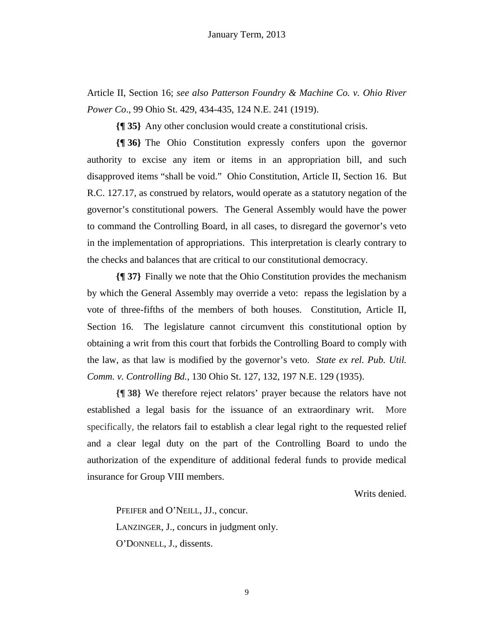Article II, Section 16; *see also Patterson Foundry & Machine Co. v. Ohio River Power Co*., 99 Ohio St. 429, 434-435, 124 N.E. 241 (1919).

**{¶ 35}** Any other conclusion would create a constitutional crisis.

**{¶ 36}** The Ohio Constitution expressly confers upon the governor authority to excise any item or items in an appropriation bill, and such disapproved items "shall be void." Ohio Constitution, Article II, Section 16. But R.C. 127.17, as construed by relators, would operate as a statutory negation of the governor's constitutional powers. The General Assembly would have the power to command the Controlling Board, in all cases, to disregard the governor's veto in the implementation of appropriations. This interpretation is clearly contrary to the checks and balances that are critical to our constitutional democracy.

**{¶ 37}** Finally we note that the Ohio Constitution provides the mechanism by which the General Assembly may override a veto: repass the legislation by a vote of three-fifths of the members of both houses. Constitution, Article II, Section 16. The legislature cannot circumvent this constitutional option by obtaining a writ from this court that forbids the Controlling Board to comply with the law, as that law is modified by the governor's veto. *State ex rel. Pub. Util. Comm. v. Controlling Bd.*, 130 Ohio St. 127, 132, 197 N.E. 129 (1935).

**{¶ 38}** We therefore reject relators' prayer because the relators have not established a legal basis for the issuance of an extraordinary writ. More specifically, the relators fail to establish a clear legal right to the requested relief and a clear legal duty on the part of the Controlling Board to undo the authorization of the expenditure of additional federal funds to provide medical insurance for Group VIII members.

Writs denied.

PFEIFER and O'NEILL, JJ., concur. LANZINGER, J., concurs in judgment only. O'DONNELL, J., dissents.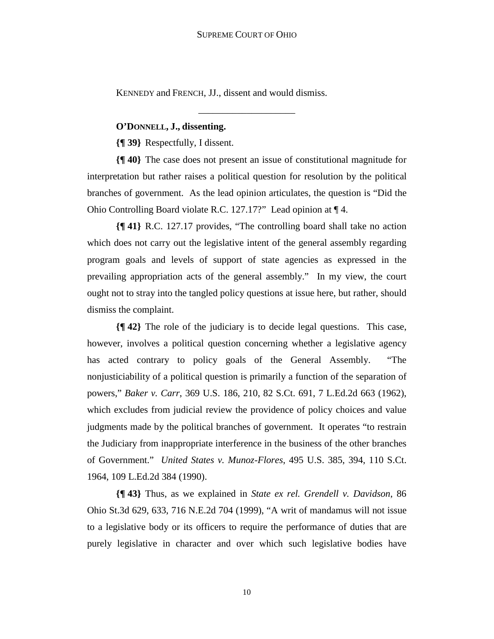\_\_\_\_\_\_\_\_\_\_\_\_\_\_\_\_\_\_\_\_

KENNEDY and FRENCH, JJ., dissent and would dismiss.

## **O'DONNELL, J., dissenting.**

**{¶ 39}** Respectfully, I dissent.

**{¶ 40}** The case does not present an issue of constitutional magnitude for interpretation but rather raises a political question for resolution by the political branches of government. As the lead opinion articulates, the question is "Did the Ohio Controlling Board violate R.C. 127.17?" Lead opinion at ¶ 4.

**{¶ 41}** R.C. 127.17 provides, "The controlling board shall take no action which does not carry out the legislative intent of the general assembly regarding program goals and levels of support of state agencies as expressed in the prevailing appropriation acts of the general assembly." In my view, the court ought not to stray into the tangled policy questions at issue here, but rather, should dismiss the complaint.

**{¶ 42}** The role of the judiciary is to decide legal questions. This case, however, involves a political question concerning whether a legislative agency has acted contrary to policy goals of the General Assembly. "The nonjusticiability of a political question is primarily a function of the separation of powers," *Baker v. Carr*, 369 U.S. 186, 210, 82 S.Ct. 691, 7 L.Ed.2d 663 (1962), which excludes from judicial review the providence of policy choices and value judgments made by the political branches of government. It operates "to restrain the Judiciary from inappropriate interference in the business of the other branches of Government." *United States v. Munoz-Flores*, 495 U.S. 385, 394, 110 S.Ct. 1964, 109 L.Ed.2d 384 (1990).

**{¶ 43}** Thus, as we explained in *State ex rel. Grendell v. Davidson*, 86 Ohio St.3d 629, 633, 716 N.E.2d 704 (1999), "A writ of mandamus will not issue to a legislative body or its officers to require the performance of duties that are purely legislative in character and over which such legislative bodies have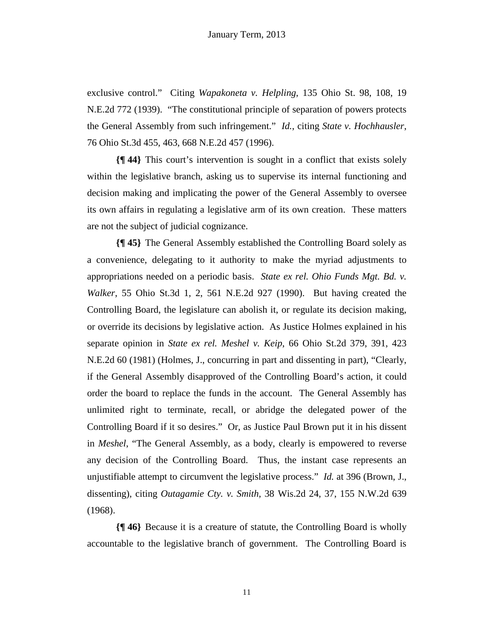exclusive control." Citing *Wapakoneta v. Helpling*, 135 Ohio St. 98, 108, 19 N.E.2d 772 (1939). "The constitutional principle of separation of powers protects the General Assembly from such infringement." *Id.*, citing *State v. Hochhausler*, 76 Ohio St.3d 455, 463, 668 N.E.2d 457 (1996).

**{¶ 44}** This court's intervention is sought in a conflict that exists solely within the legislative branch, asking us to supervise its internal functioning and decision making and implicating the power of the General Assembly to oversee its own affairs in regulating a legislative arm of its own creation. These matters are not the subject of judicial cognizance.

**{¶ 45}** The General Assembly established the Controlling Board solely as a convenience, delegating to it authority to make the myriad adjustments to appropriations needed on a periodic basis. *State ex rel. Ohio Funds Mgt. Bd. v. Walker*, 55 Ohio St.3d 1, 2, 561 N.E.2d 927 (1990). But having created the Controlling Board, the legislature can abolish it, or regulate its decision making, or override its decisions by legislative action. As Justice Holmes explained in his separate opinion in *State ex rel. Meshel v. Keip*, 66 Ohio St.2d 379, 391, 423 N.E.2d 60 (1981) (Holmes, J., concurring in part and dissenting in part), "Clearly, if the General Assembly disapproved of the Controlling Board's action, it could order the board to replace the funds in the account. The General Assembly has unlimited right to terminate, recall, or abridge the delegated power of the Controlling Board if it so desires." Or, as Justice Paul Brown put it in his dissent in *Meshel*, "The General Assembly, as a body, clearly is empowered to reverse any decision of the Controlling Board. Thus, the instant case represents an unjustifiable attempt to circumvent the legislative process." *Id.* at 396 (Brown, J., dissenting), citing *Outagamie Cty. v. Smith*, 38 Wis.2d 24, 37, 155 N.W.2d 639 (1968).

**{¶ 46}** Because it is a creature of statute, the Controlling Board is wholly accountable to the legislative branch of government. The Controlling Board is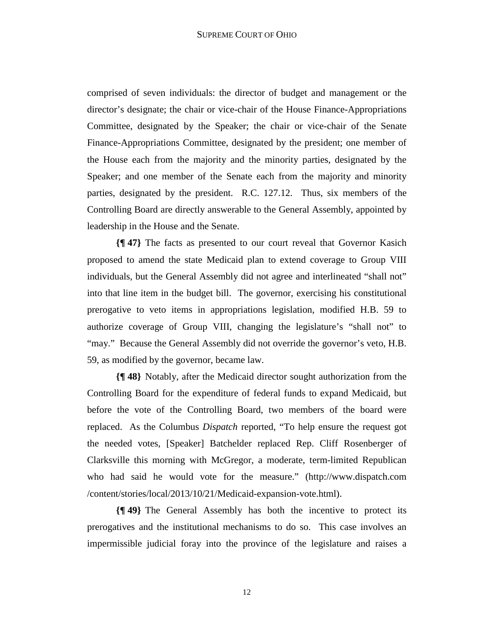comprised of seven individuals: the director of budget and management or the director's designate; the chair or vice-chair of the House Finance-Appropriations Committee, designated by the Speaker; the chair or vice-chair of the Senate Finance-Appropriations Committee, designated by the president; one member of the House each from the majority and the minority parties, designated by the Speaker; and one member of the Senate each from the majority and minority parties, designated by the president. R.C. 127.12. Thus, six members of the Controlling Board are directly answerable to the General Assembly, appointed by leadership in the House and the Senate.

**{¶ 47}** The facts as presented to our court reveal that Governor Kasich proposed to amend the state Medicaid plan to extend coverage to Group VIII individuals, but the General Assembly did not agree and interlineated "shall not" into that line item in the budget bill. The governor, exercising his constitutional prerogative to veto items in appropriations legislation, modified H.B. 59 to authorize coverage of Group VIII, changing the legislature's "shall not" to "may." Because the General Assembly did not override the governor's veto, H.B. 59, as modified by the governor, became law.

**{¶ 48}** Notably, after the Medicaid director sought authorization from the Controlling Board for the expenditure of federal funds to expand Medicaid, but before the vote of the Controlling Board, two members of the board were replaced. As the Columbus *Dispatch* reported, "To help ensure the request got the needed votes, [Speaker] Batchelder replaced Rep. Cliff Rosenberger of Clarksville this morning with McGregor, a moderate, term-limited Republican who had said he would vote for the measure." (http://www.dispatch.com /content/stories/local/2013/10/21/Medicaid-expansion-vote.html).

**{¶ 49}** The General Assembly has both the incentive to protect its prerogatives and the institutional mechanisms to do so. This case involves an impermissible judicial foray into the province of the legislature and raises a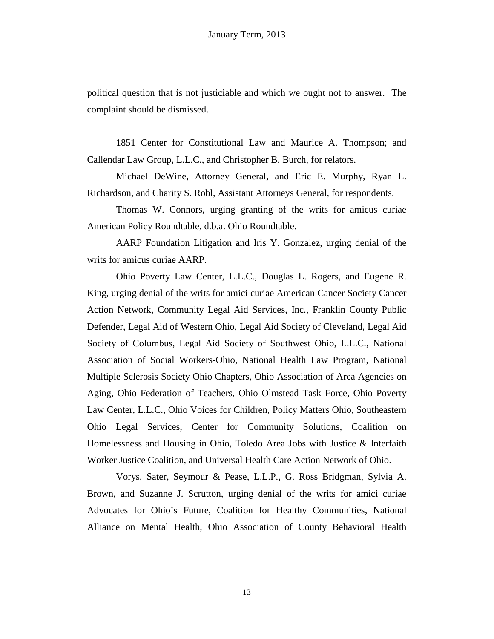political question that is not justiciable and which we ought not to answer. The complaint should be dismissed.

\_\_\_\_\_\_\_\_\_\_\_\_\_\_\_\_\_\_\_\_

1851 Center for Constitutional Law and Maurice A. Thompson; and Callendar Law Group, L.L.C., and Christopher B. Burch, for relators.

Michael DeWine, Attorney General, and Eric E. Murphy, Ryan L. Richardson, and Charity S. Robl, Assistant Attorneys General, for respondents.

Thomas W. Connors, urging granting of the writs for amicus curiae American Policy Roundtable, d.b.a. Ohio Roundtable.

AARP Foundation Litigation and Iris Y. Gonzalez, urging denial of the writs for amicus curiae AARP.

Ohio Poverty Law Center, L.L.C., Douglas L. Rogers, and Eugene R. King, urging denial of the writs for amici curiae American Cancer Society Cancer Action Network, Community Legal Aid Services, Inc., Franklin County Public Defender, Legal Aid of Western Ohio, Legal Aid Society of Cleveland, Legal Aid Society of Columbus, Legal Aid Society of Southwest Ohio, L.L.C., National Association of Social Workers-Ohio, National Health Law Program, National Multiple Sclerosis Society Ohio Chapters, Ohio Association of Area Agencies on Aging, Ohio Federation of Teachers, Ohio Olmstead Task Force, Ohio Poverty Law Center, L.L.C., Ohio Voices for Children, Policy Matters Ohio, Southeastern Ohio Legal Services, Center for Community Solutions, Coalition on Homelessness and Housing in Ohio, Toledo Area Jobs with Justice & Interfaith Worker Justice Coalition, and Universal Health Care Action Network of Ohio.

Vorys, Sater, Seymour & Pease, L.L.P., G. Ross Bridgman, Sylvia A. Brown, and Suzanne J. Scrutton, urging denial of the writs for amici curiae Advocates for Ohio's Future, Coalition for Healthy Communities, National Alliance on Mental Health, Ohio Association of County Behavioral Health